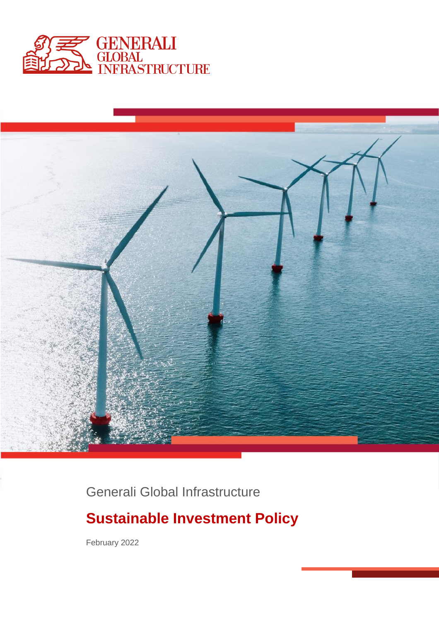



Generali Global Infrastructure

# **Sustainable Investment Policy**

February 2022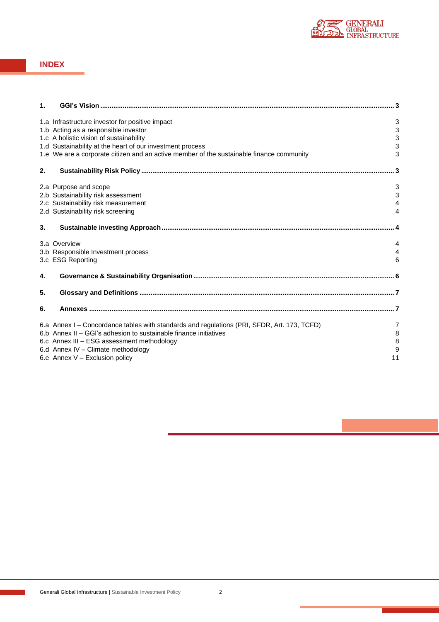

### **INDEX**

| 1. |                                                                                             |                |
|----|---------------------------------------------------------------------------------------------|----------------|
|    |                                                                                             |                |
|    | 1.a Infrastructure investor for positive impact                                             | 3              |
|    | 1.b Acting as a responsible investor                                                        | 3              |
|    | 1.c A holistic vision of sustainability                                                     | 3              |
|    | 1.d Sustainability at the heart of our investment process                                   | 3              |
|    | 1.e We are a corporate citizen and an active member of the sustainable finance community    | 3              |
| 2. |                                                                                             |                |
|    | 2.a Purpose and scope                                                                       | $\mathsf 3$    |
|    | 2.b Sustainability risk assessment                                                          | 3              |
|    | 2.c Sustainability risk measurement                                                         | $\overline{4}$ |
|    | 2.d Sustainability risk screening                                                           | $\overline{4}$ |
| 3. |                                                                                             |                |
|    | 3.a Overview                                                                                | 4              |
|    | 3.b Responsible Investment process                                                          | 4              |
|    | 3.c ESG Reporting                                                                           | 6              |
| 4. |                                                                                             |                |
| 5. |                                                                                             |                |
|    |                                                                                             |                |
| 6. |                                                                                             |                |
|    | 6.a Annex I – Concordance tables with standards and regulations (PRI, SFDR, Art. 173, TCFD) | 7              |
|    | 6.b Annex II – GGI's adhesion to sustainable finance initiatives                            | 8              |
|    | 6.c Annex III - ESG assessment methodology                                                  | 8              |
|    | 6.d Annex IV - Climate methodology                                                          | 9              |
|    | 6.e Annex V - Exclusion policy                                                              | 11             |
|    |                                                                                             |                |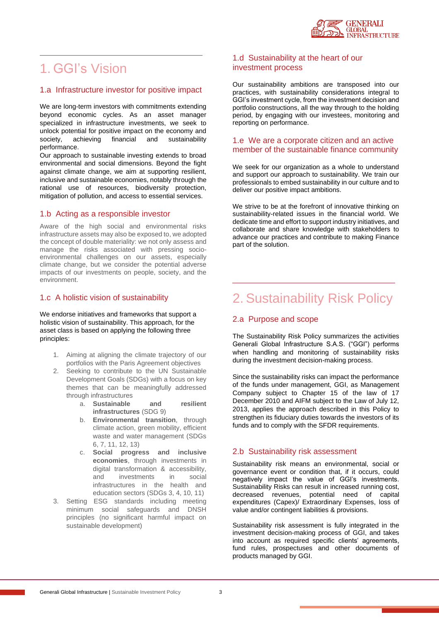

### <span id="page-2-1"></span>1. GGI's Vision

### 1.a Infrastructure investor for positive impact

We are long-term investors with commitments extending beyond economic cycles. As an asset manager specialized in infrastructure investments, we seek to unlock potential for positive impact on the economy and society, achieving financial and sustainability performance.

Our approach to sustainable investing extends to broad environmental and social dimensions. Beyond the fight against climate change, we aim at supporting resilient, inclusive and sustainable economies, notably through the rational use of resources, biodiversity protection, mitigation of pollution, and access to essential services.

### 1.b Acting as a responsible investor

Aware of the high social and environmental risks infrastructure assets may also be exposed to, we adopted the concept of double materiality: we not only assess and manage the risks associated with pressing socioenvironmental challenges on our assets, especially climate change, but we consider the potential adverse impacts of our investments on people, society, and the environment.

### 1.c A holistic vision of sustainability

We endorse initiatives and frameworks that support a holistic vision of sustainability. This approach, for the asset class is based on applying the following three principles:

- 1. Aiming at aligning the climate trajectory of our portfolios with the Paris Agreement objectives
- 2. Seeking to contribute to the UN Sustainable Development Goals (SDGs) with a focus on key themes that can be meaningfully addressed through infrastructures
	- a. **Sustainable and resilient infrastructures** (SDG 9)
	- b. **Environmental transition**, through climate action, green mobility, efficient waste and water management (SDGs 6, 7, 11, 12, 13)
	- c. **Social progress and inclusive economies**, through investments in digital transformation & accessibility, and investments in social infrastructures in the health and education sectors (SDGs 3, 4, 10, 11)
- 3. Setting ESG standards including meeting minimum social safeguards and DNSH principles (no significant harmful impact on sustainable development)

### 1.d Sustainability at the heart of our investment process

Our sustainability ambitions are transposed into our practices, with sustainability considerations integral to GGI's investment cycle, from the investment decision and portfolio constructions, all the way through to the holding period, by engaging with our investees, monitoring and reporting on performance.

### 1.e We are a corporate citizen and an active member of the sustainable finance community

We seek for our organization as a whole to understand and support our approach to sustainability. We train our professionals to embed sustainability in our culture and to deliver our positive impact ambitions.

We strive to be at the forefront of innovative thinking on sustainability-related issues in the financial world. We dedicate time and effort to support industry initiatives, and collaborate and share knowledge with stakeholders to advance our practices and contribute to making Finance part of the solution.

# <span id="page-2-0"></span>2. Sustainability Risk Policy

### 2.a Purpose and scope

The Sustainability Risk Policy summarizes the activities Generali Global Infrastructure S.A.S. ("GGI") performs when handling and monitoring of sustainability risks during the investment decision-making process.

Since the sustainability risks can impact the performance of the funds under management, GGI, as Management Company subject to Chapter 15 of the law of 17 December 2010 and AIFM subject to the Law of July 12, 2013, applies the approach described in this Policy to strengthen its fiduciary duties towards the investors of its funds and to comply with the SFDR requirements.

### 2.b Sustainability risk assessment

Sustainability risk means an environmental, social or governance event or condition that, if it occurs, could negatively impact the value of GGI's investments. Sustainability Risks can result in increased running cost, decreased revenues, potential need of capital expenditures (Capex)/ Extraordinary Expenses, loss of value and/or contingent liabilities & provisions.

Sustainability risk assessment is fully integrated in the investment decision-making process of GGI, and takes into account as required specific clients' agreements, fund rules, prospectuses and other documents of products managed by GGI.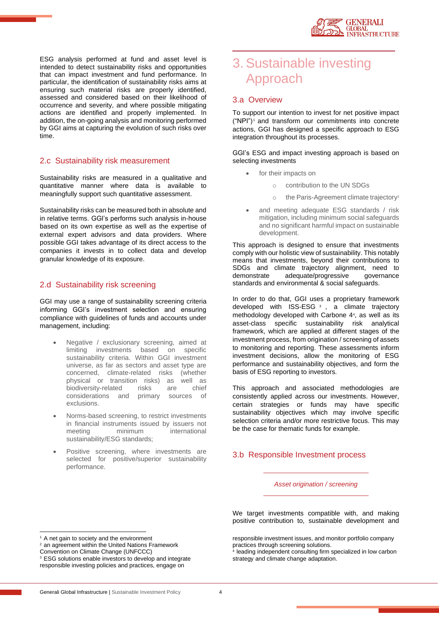ESG analysis performed at fund and asset level is intended to detect sustainability risks and opportunities that can impact investment and fund performance. In particular, the identification of sustainability risks aims at ensuring such material risks are properly identified, assessed and considered based on their likelihood of occurrence and severity, and where possible mitigating actions are identified and properly implemented. In addition, the on-going analysis and monitoring performed by GGI aims at capturing the evolution of such risks over time.

### 2.c Sustainability risk measurement

Sustainability risks are measured in a qualitative and quantitative manner where data is available to meaningfully support such quantitative assessment.

Sustainability risks can be measured both in absolute and in relative terms. GGI's performs such analysis in-house based on its own expertise as well as the expertise of external expert advisors and data providers. Where possible GGI takes advantage of its direct access to the companies it invests in to collect data and develop granular knowledge of its exposure.

### 2.d Sustainability risk screening

GGI may use a range of sustainability screening criteria informing GGI's investment selection and ensuring compliance with guidelines of funds and accounts under management, including:

- Negative / exclusionary screening, aimed at limiting investments based on specific sustainability criteria. Within GGI investment universe, as far as sectors and asset type are concerned, climate-related risks (whether physical or transition risks) as well as biodiversity-related risks are chief considerations and primary sources of exclusions.
- Norms-based screening, to restrict investments in financial instruments issued by issuers not meeting minimum international sustainability/ESG standards;
- Positive screening, where investments are selected for positive/superior sustainability performance.

# <span id="page-3-1"></span>3. Sustainable investing Approach

### 3.a Overview

To support our intention to invest for net positive impact ("NPI")<sup>1</sup> and transform our commitments into concrete actions, GGI has designed a specific approach to ESG integration throughout its processes.

GGI's ESG and impact investing approach is based on selecting investments

- for their impacts on
	- o contribution to the UN SDGs
	- o the Paris-Agreement climate trajectory<sup>2</sup>
- and meeting adequate ESG standards / risk mitigation, including minimum social safeguards and no significant harmful impact on sustainable development.

This approach is designed to ensure that investments comply with our holistic view of sustainability. This notably means that investments, beyond their contributions to SDGs and climate trajectory alignment, need to<br>demonstrate adequate/progressive governance adequate/progressive governance standards and environmental & social safeguards.

In order to do that, GGI uses a proprietary framework developed with ISS-ESG <sup>3</sup> , a climate trajectory methodology developed with Carbone 4<sup>4</sup> , as well as its asset-class specific sustainability risk analytical framework, which are applied at different stages of the investment process, from origination / screening of assets to monitoring and reporting. These assessments inform investment decisions, allow the monitoring of ESG performance and sustainability objectives, and form the basis of ESG reporting to investors.

This approach and associated methodologies are consistently applied across our investments. However, certain strategies or funds may have specific sustainability objectives which may involve specific selection criteria and/or more restrictive focus. This may be the case for thematic funds for example.

### <span id="page-3-0"></span>3.b Responsible Investment process

*Asset origination / screening*

<sup>1</sup> A net gain to society and the environment

We target investments compatible with, and making positive contribution to, sustainable development and

responsible investment issues, and monitor portfolio company practices through screening solutions.

4 leading independent consulting firm specialized in low carbon strategy and climate change adaptation.

<sup>&</sup>lt;sup>2</sup> an agreement within the United Nations Framework

Convention on Climate Change (UNFCCC)

<sup>&</sup>lt;sup>3</sup> ESG solutions enable investors to develop and integrate responsible investing policies and practices, engage on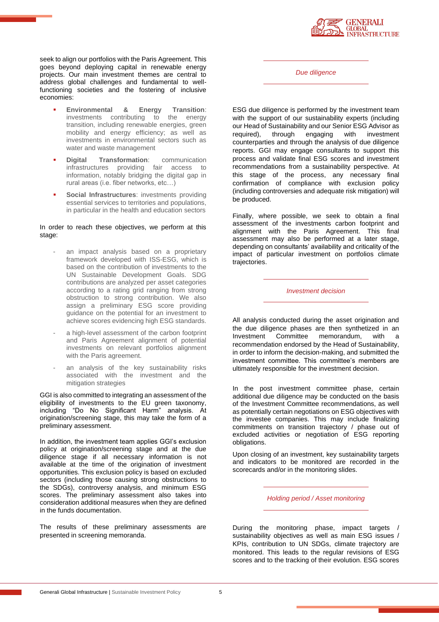

seek to align our portfolios with the Paris Agreement. This goes beyond deploying capital in renewable energy projects. Our main investment themes are central to address global challenges and fundamental to wellfunctioning societies and the fostering of inclusive economies:

- **Environmental & Energy Transition**: investments contributing to the energy transition, including renewable energies, green mobility and energy efficiency; as well as investments in environmental sectors such as water and waste management
- **Digital Transformation:** communication infrastructures providing fair access to information, notably bridging the digital gap in rural areas (i.e. fiber networks, etc…)
- **Social Infrastructures:** investments providing essential services to territories and populations, in particular in the health and education sectors

#### In order to reach these objectives, we perform at this stage:

- an impact analysis based on a proprietary framework developed with ISS-ESG, which is based on the contribution of investments to the UN Sustainable Development Goals. SDG contributions are analyzed per asset categories according to a rating grid ranging from strong obstruction to strong contribution. We also assign a preliminary ESG score providing guidance on the potential for an investment to achieve scores evidencing high ESG standards.
- a high-level assessment of the carbon footprint and Paris Agreement alignment of potential investments on relevant portfolios alignment with the Paris agreement.
- an analysis of the key sustainability risks associated with the investment and the mitigation strategies

GGI is also committed to integrating an assessment of the eligibility of investments to the EU green taxonomy, including "Do No Significant Harm" analysis. At origination/screening stage, this may take the form of a preliminary assessment.

In addition, the investment team applies GGI's exclusion policy at origination/screening stage and at the due diligence stage if all necessary information is not available at the time of the origination of investment opportunities. This exclusion policy is based on excluded sectors (including those causing strong obstructions to the SDGs), controversy analysis, and minimum ESG scores. The preliminary assessment also takes into consideration additional measures when they are defined in the funds documentation.

The results of these preliminary assessments are presented in screening memoranda.

*Due diligence*

ESG due diligence is performed by the investment team with the support of our sustainability experts (including our Head of Sustainability and our Senior ESG Advisor as<br>required), through engaging with investment required), through engaging with investment counterparties and through the analysis of due diligence reports. GGI may engage consultants to support this process and validate final ESG scores and investment recommendations from a sustainability perspective. At this stage of the process, any necessary final confirmation of compliance with exclusion policy (including controversies and adequate risk mitigation) will be produced.

Finally, where possible, we seek to obtain a final assessment of the investments carbon footprint and alignment with the Paris Agreement. This final assessment may also be performed at a later stage, depending on consultants' availability and criticality of the impact of particular investment on portfolios climate trajectories.

*Investment decision*

All analysis conducted during the asset origination and the due diligence phases are then synthetized in an<br>Investment Committee memorandum, with a memorandum, with a recommendation endorsed by the Head of Sustainability, in order to inform the decision-making, and submitted the investment committee. This committee's members are ultimately responsible for the investment decision.

In the post investment committee phase, certain additional due diligence may be conducted on the basis of the Investment Committee recommendations, as well as potentially certain negotiations on ESG objectives with the investee companies. This may include finalizing commitments on transition trajectory / phase out of excluded activities or negotiation of ESG reporting obligations.

Upon closing of an investment, key sustainability targets and indicators to be monitored are recorded in the scorecards and/or in the monitoring slides.

*Holding period / Asset monitoring*

During the monitoring phase, impact targets / sustainability objectives as well as main ESG issues / KPIs, contribution to UN SDGs, climate trajectory are monitored. This leads to the regular revisions of ESG scores and to the tracking of their evolution. ESG scores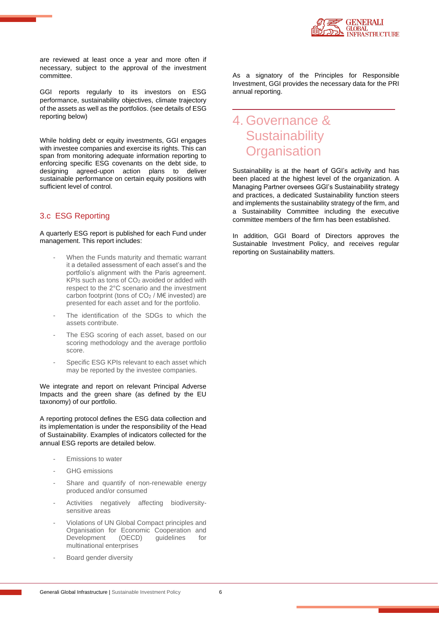

are reviewed at least once a year and more often if necessary, subject to the approval of the investment committee.

GGI reports regularly to its investors on ESG performance, sustainability objectives, climate trajectory of the assets as well as the portfolios. (see details of ESG reporting below)

While holding debt or equity investments, GGI engages with investee companies and exercise its rights. This can span from monitoring adequate information reporting to enforcing specific ESG covenants on the debt side, to designing agreed-upon action plans to deliver sustainable performance on certain equity positions with sufficient level of control.

### <span id="page-5-0"></span>3.c ESG Reporting

A quarterly ESG report is published for each Fund under management. This report includes:

- When the Funds maturity and thematic warrant it a detailed assessment of each asset's and the portfolio's alignment with the Paris agreement. KPIs such as tons of  $CO<sub>2</sub>$  avoided or added with respect to the 2°C scenario and the investment carbon footprint (tons of  $CO<sub>2</sub>$  / M€ invested) are presented for each asset and for the portfolio.
- The identification of the SDGs to which the assets contribute.
- The ESG scoring of each asset, based on our scoring methodology and the average portfolio score.
- Specific ESG KPIs relevant to each asset which may be reported by the investee companies.

We integrate and report on relevant Principal Adverse Impacts and the green share (as defined by the EU taxonomy) of our portfolio.

A reporting protocol defines the ESG data collection and its implementation is under the responsibility of the Head of Sustainability. Examples of indicators collected for the annual ESG reports are detailed below.

- Emissions to water
- GHG emissions
- Share and quantify of non-renewable energy produced and/or consumed
- Activities negatively affecting biodiversitysensitive areas
- Violations of UN Global Compact principles and Organisation for Economic Cooperation and<br>Development (OECD) guidelines for Development multinational enterprises
- Board gender diversity

As a signatory of the Principles for Responsible Investment, GGI provides the necessary data for the PRI annual reporting.

### <span id="page-5-1"></span>4. Governance & **Sustainability Organisation**

Sustainability is at the heart of GGI's activity and has been placed at the highest level of the organization. A Managing Partner oversees GGI's Sustainability strategy and practices, a dedicated Sustainability function steers and implements the sustainability strategy of the firm, and a Sustainability Committee including the executive committee members of the firm has been established.

In addition, GGI Board of Directors approves the Sustainable Investment Policy, and receives regular reporting on Sustainability matters.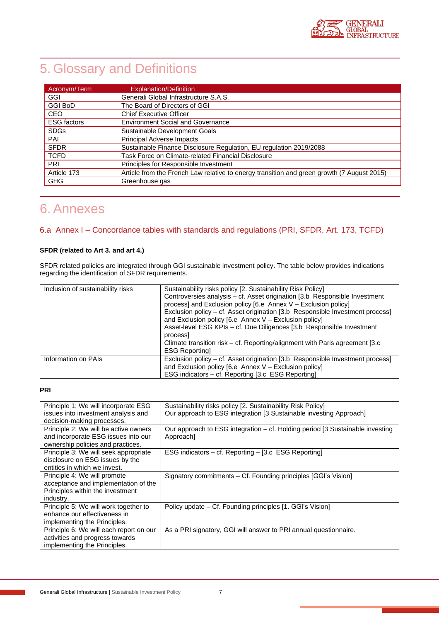# 5. Glossary and Definitions

| Acronym/Term       | <b>Explanation/Definition</b>                                                              |
|--------------------|--------------------------------------------------------------------------------------------|
| GGI                | Generali Global Infrastructure S.A.S.                                                      |
| <b>GGI BoD</b>     | The Board of Directors of GGI                                                              |
| <b>CEO</b>         | <b>Chief Executive Officer</b>                                                             |
| <b>ESG</b> factors | <b>Environment Social and Governance</b>                                                   |
| <b>SDGs</b>        | Sustainable Development Goals                                                              |
| PAI                | <b>Principal Adverse Impacts</b>                                                           |
| <b>SFDR</b>        | Sustainable Finance Disclosure Regulation, EU regulation 2019/2088                         |
| <b>TCFD</b>        | Task Force on Climate-related Financial Disclosure                                         |
| PRI                | Principles for Responsible Investment                                                      |
| Article 173        | Article from the French Law relative to energy transition and green growth (7 August 2015) |
| <b>GHG</b>         | Greenhouse gas                                                                             |

# 6. Annexes

### 6.a Annex I – Concordance tables with standards and regulations (PRI, SFDR, Art. 173, TCFD)

### **SFDR (related to Art 3. and art 4.)**

SFDR related policies are integrated through GGI sustainable investment policy. The table below provides indications regarding the identification of SFDR requirements.

| Inclusion of sustainability risks | Sustainability risks policy [2. Sustainability Risk Policy]<br>Controversies analysis - cf. Asset origination [3.b Responsible Investment<br>process] and Exclusion policy [6.e Annex V – Exclusion policy]<br>Exclusion policy – cf. Asset origination [3.b Responsible Investment process]<br>and Exclusion policy $[6. e \tAnnex V - Exclusion policy]$<br>Asset-level ESG KPIs - cf. Due Diligences [3.b Responsible Investment<br>process |
|-----------------------------------|------------------------------------------------------------------------------------------------------------------------------------------------------------------------------------------------------------------------------------------------------------------------------------------------------------------------------------------------------------------------------------------------------------------------------------------------|
|                                   | Climate transition risk – cf. Reporting/alignment with Paris agreement [3.c]<br><b>ESG Reportingl</b>                                                                                                                                                                                                                                                                                                                                          |
| Information on PAIs               | Exclusion policy - cf. Asset origination [3.b Responsible Investment process]<br>and Exclusion policy $[6. e \tAnnex V - Exclusion policy]$<br>ESG indicators – cf. Reporting [3.c ESG Reporting]                                                                                                                                                                                                                                              |

### **PRI**

| Principle 1: We will incorporate ESG<br>issues into investment analysis and<br>decision-making processes.             | Sustainability risks policy [2. Sustainability Risk Policy]<br>Our approach to ESG integration [3 Sustainable investing Approach] |
|-----------------------------------------------------------------------------------------------------------------------|-----------------------------------------------------------------------------------------------------------------------------------|
| Principle 2: We will be active owners<br>and incorporate ESG issues into our<br>ownership policies and practices.     | Our approach to ESG integration – cf. Holding period [3 Sustainable investing<br>Approach]                                        |
| Principle 3: We will seek appropriate<br>disclosure on ESG issues by the<br>entities in which we invest.              | ESG indicators – cf. Reporting – [3.c ESG Reporting]                                                                              |
| Principle 4: We will promote<br>acceptance and implementation of the<br>Principles within the investment<br>industry. | Signatory commitments – Cf. Founding principles [GGI's Vision]                                                                    |
| Principle 5: We will work together to<br>enhance our effectiveness in<br>implementing the Principles.                 | Policy update – Cf. Founding principles [1. GGI's Vision]                                                                         |
| Principle 6: We will each report on our<br>activities and progress towards<br>implementing the Principles.            | As a PRI signatory, GGI will answer to PRI annual questionnaire.                                                                  |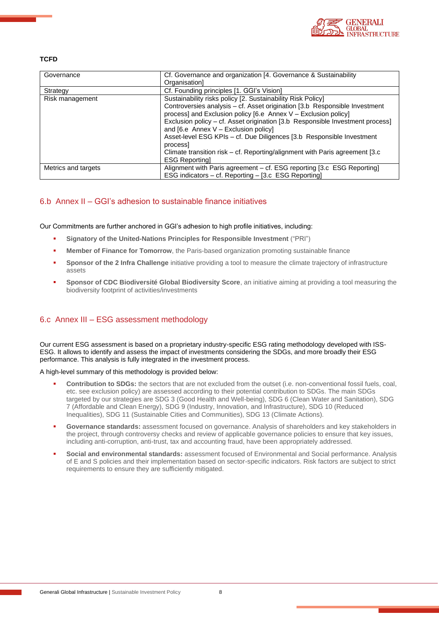

### **TCFD**

| Governance          | Cf. Governance and organization [4. Governance & Sustainability               |
|---------------------|-------------------------------------------------------------------------------|
|                     | Organisation1                                                                 |
| Strategy            | Cf. Founding principles [1. GGI's Vision]                                     |
| Risk management     | Sustainability risks policy [2. Sustainability Risk Policy]                   |
|                     | Controversies analysis – cf. Asset origination [3.b Responsible Investment    |
|                     | process] and Exclusion policy [6.e Annex V - Exclusion policy]                |
|                     | Exclusion policy - cf. Asset origination [3.b Responsible Investment process] |
|                     | and $[6. e$ Annex V – Exclusion policy]                                       |
|                     | Asset-level ESG KPIs - cf. Due Diligences [3.b Responsible Investment         |
|                     | process                                                                       |
|                     | Climate transition risk – cf. Reporting/alignment with Paris agreement [3.c]  |
|                     | <b>ESG Reportingl</b>                                                         |
| Metrics and targets | Alignment with Paris agreement - cf. ESG reporting [3.c ESG Reporting]        |
|                     | ESG indicators - cf. Reporting - [3.c ESG Reporting]                          |

### 6.b Annex II – GGI's adhesion to sustainable finance initiatives

Our Commitments are further anchored in GGI's adhesion to high profile initiatives, including:

- **Signatory of the United-Nations Principles for Responsible Investment** ("PRI")
- **Member of Finance for Tomorrow**, the Paris-based organization promoting sustainable finance
- Sponsor of the 2 Infra Challenge initiative providing a tool to measure the climate trajectory of infrastructure assets
- **Sponsor of CDC Biodiversité Global Biodiversity Score**, an initiative aiming at providing a tool measuring the biodiversity footprint of activities/investments

### 6.c Annex III – ESG assessment methodology

Our current ESG assessment is based on a proprietary industry-specific ESG rating methodology developed with ISS-ESG. It allows to identify and assess the impact of investments considering the SDGs, and more broadly their ESG performance. This analysis is fully integrated in the investment process.

A high-level summary of this methodology is provided below:

- **Contribution to SDGs:** the sectors that are not excluded from the outset (i.e. non-conventional fossil fuels, coal, etc. see exclusion policy) are assessed according to their potential contribution to SDGs. The main SDGs targeted by our strategies are SDG 3 (Good Health and Well-being), SDG 6 (Clean Water and Sanitation), SDG 7 (Affordable and Clean Energy), SDG 9 (Industry, Innovation, and Infrastructure), SDG 10 (Reduced Inequalities), SDG 11 (Sustainable Cities and Communities), SDG 13 (Climate Actions).
- Governance standards: assessment focused on governance. Analysis of shareholders and key stakeholders in the project, through controversy checks and review of applicable governance policies to ensure that key issues, including anti-corruption, anti-trust, tax and accounting fraud, have been appropriately addressed.
- **Social and environmental standards:** assessment focused of Environmental and Social performance. Analysis of E and S policies and their implementation based on sector-specific indicators. Risk factors are subject to strict requirements to ensure they are sufficiently mitigated.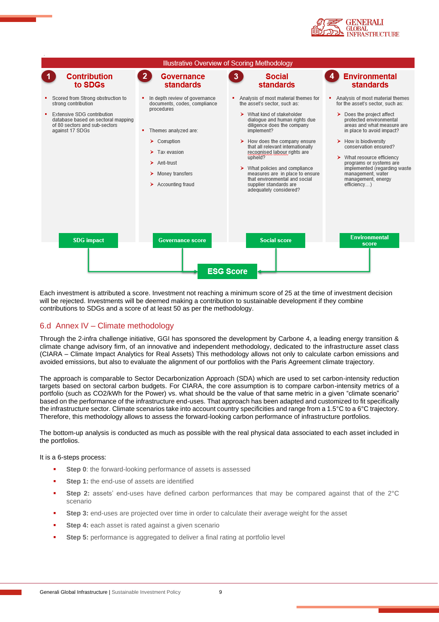



Each investment is attributed a score. Investment not reaching a minimum score of 25 at the time of investment decision will be rejected. Investments will be deemed making a contribution to sustainable development if they combine contributions to SDGs and a score of at least 50 as per the methodology.

### 6.d Annex IV – Climate methodology

Through the 2-infra challenge initiative, GGI has sponsored the development by Carbone 4, a leading energy transition & climate change advisory firm, of an innovative and independent methodology, dedicated to the infrastructure asset class (CIARA – Climate Impact Analytics for Real Assets) This methodology allows not only to calculate carbon emissions and avoided emissions, but also to evaluate the alignment of our portfolios with the Paris Agreement climate trajectory.

The approach is comparable to Sector Decarbonization Approach (SDA) which are used to set carbon-intensity reduction targets based on sectoral carbon budgets. For CIARA, the core assumption is to compare carbon-intensity metrics of a portfolio (such as CO2/kWh for the Power) vs. what should be the value of that same metric in a given "climate scenario" based on the performance of the infrastructure end-uses. That approach has been adapted and customized to fit specifically the infrastructure sector. Climate scenarios take into account country specificities and range from a 1.5°C to a 6°C trajectory. Therefore, this methodology allows to assess the forward-looking carbon performance of infrastructure portfolios.

The bottom-up analysis is conducted as much as possible with the real physical data associated to each asset included in the portfolios.

It is a 6-steps process:

- **Step 0:** the forward-looking performance of assets is assessed
- **Step 1:** the end-use of assets are identified
- **Step 2:** assets' end-uses have defined carbon performances that may be compared against that of the 2°C scenario
- **Step 3:** end-uses are projected over time in order to calculate their average weight for the asset
- **Step 4:** each asset is rated against a given scenario
- **Step 5:** performance is aggregated to deliver a final rating at portfolio level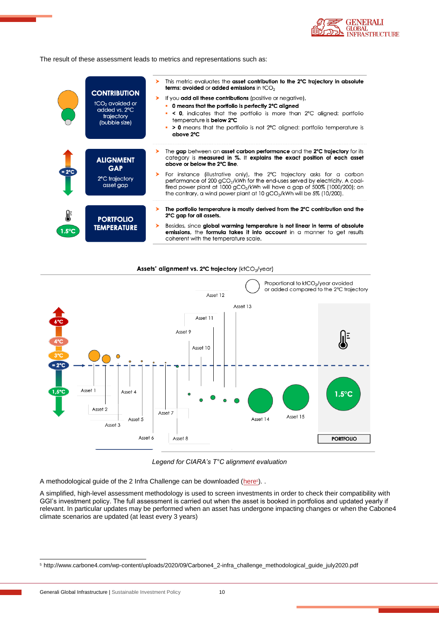

The result of these assessment leads to metrics and representations such as:

|                      | <b>CONTRIBUTION</b><br>tCO <sub>2</sub> avoided or<br>added vs. 2°C<br>trajectory<br>(bubble size) | This metric evaluates the asset contribution to the 2°C trajectory in absolute<br><b>terms: avoided or added emissions in <math>tCO2</math></b><br>If you add all these contributions (positive or negative),<br>➤<br>• 0 means that the portfolio is perfectly 2°C aligned<br>$\leq$ 0, indicates that the portfolio is more than 2°C aligned: portfolio<br>temperature is <b>below 2°C</b><br>• > 0 means that the portfolio is not 2°C aligned: portfolio temperature is<br>above 2°C                                        |
|----------------------|----------------------------------------------------------------------------------------------------|---------------------------------------------------------------------------------------------------------------------------------------------------------------------------------------------------------------------------------------------------------------------------------------------------------------------------------------------------------------------------------------------------------------------------------------------------------------------------------------------------------------------------------|
| $= 2^{\circ}C$       | <b>ALIGNMENT</b><br><b>GAP</b><br>2°C trajectory<br>asset gap                                      | The gap between an asset carbon performance and the 2°C trajectory for its<br>category is measured in %. It explains the exact position of each asset<br>above or below the 2°C line.<br>For instance (illustrative only), the 2°C trajectory asks for a carbon<br>performance of 200 gCO <sub>2</sub> /kWh for the end-uses served by electricity. A coal-<br>fired power plant at 1000 gCO <sub>2</sub> /kWh will have a gap of 500% (1000/200); on<br>the contrary, a wind power plant at 10 $qCO2/kWh$ will be 5% (10/200). |
| ∯<br>$1.5^{\circ}$ C | <b>PORTFOLIO</b><br><b>TEMPERATURE</b>                                                             | The portfolio temperature is mostly derived from the 2°C contribution and the<br>2°C gap for all assets.<br>Besides, since global warming temperature is not linear in terms of absolute<br>emissions, the formula takes it into account in a manner to get results<br>coherent with the temperature scale.                                                                                                                                                                                                                     |





*Legend for CIARA's T°C alignment evaluation*

A methodological guide of the 2 Infra Challenge can be downloaded [\(here](http://www.carbone4.com/wp-content/uploads/2020/09/Carbone4_2-infra_challenge_methodological_guide_july2020.pdf)<sup>s</sup>). .

A simplified, high-level assessment methodology is used to screen investments in order to check their compatibility with GGI's investment policy. The full assessment is carried out when the asset is booked in portfolios and updated yearly if relevant. In particular updates may be performed when an asset has undergone impacting changes or when the Cabone4 climate scenarios are updated (at least every 3 years)

<sup>5</sup> http://www.carbone4.com/wp-content/uploads/2020/09/Carbone4\_2-infra\_challenge\_methodological\_guide\_july2020.pdf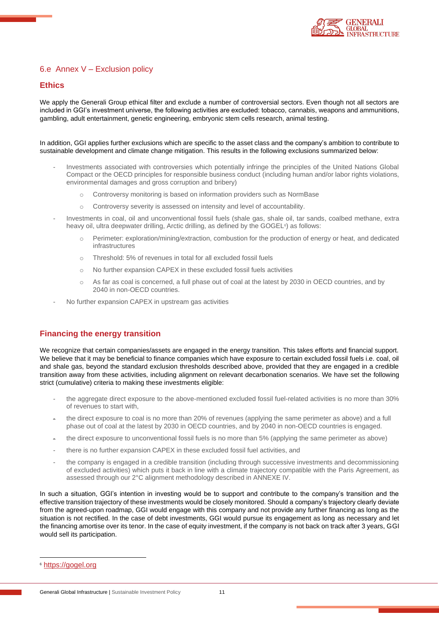

### <span id="page-10-0"></span>6.e Annex V – Exclusion policy

### **Ethics**

We apply the Generali Group ethical filter and exclude a number of controversial sectors. Even though not all sectors are included in GGI's investment universe, the following activities are excluded: tobacco, cannabis, weapons and ammunitions, gambling, adult entertainment, genetic engineering, embryonic stem cells research, animal testing.

In addition, GGI applies further exclusions which are specific to the asset class and the company's ambition to contribute to sustainable development and climate change mitigation. This results in the following exclusions summarized below:

- Investments associated with controversies which potentially infringe the principles of the United Nations Global Compact or the OECD principles for responsible business conduct (including human and/or labor rights violations, environmental damages and gross corruption and bribery)
	- o Controversy monitoring is based on information providers such as NormBase
	- o Controversy severity is assessed on intensity and level of accountability.
- Investments in coal, oil and unconventional fossil fuels (shale gas, shale oil, tar sands, coalbed methane, extra heavy oil, ultra deepwater drilling, Arctic drilling, as defined by the GOGEL<sup>s</sup>) as follows:
	- Perimeter: exploration/mining/extraction, combustion for the production of energy or heat, and dedicated infrastructures
	- o Threshold: 5% of revenues in total for all excluded fossil fuels
	- o No further expansion CAPEX in these excluded fossil fuels activities
	- o As far as coal is concerned, a full phase out of coal at the latest by 2030 in OECD countries, and by 2040 in non-OECD countries.
- No further expansion CAPEX in upstream gas activities

### **Financing the energy transition**

We recognize that certain companies/assets are engaged in the energy transition. This takes efforts and financial support. We believe that it may be beneficial to finance companies which have exposure to certain excluded fossil fuels i.e. coal, oil and shale gas, beyond the standard exclusion thresholds described above, provided that they are engaged in a credible transition away from these activities, including alignment on relevant decarbonation scenarios. We have set the following strict (cumulative) criteria to making these investments eligible:

- the aggregate direct exposure to the above-mentioned excluded fossil fuel-related activities is no more than 30% of revenues to start with,
- the direct exposure to coal is no more than 20% of revenues (applying the same perimeter as above) and a full phase out of coal at the latest by 2030 in OECD countries, and by 2040 in non-OECD countries is engaged.
- the direct exposure to unconventional fossil fuels is no more than 5% (applying the same perimeter as above)
- there is no further expansion CAPEX in these excluded fossil fuel activities, and
- the company is engaged in a credible transition (including through successive investments and decommissioning of excluded activities) which puts it back in line with a climate trajectory compatible with the Paris Agreement, as assessed through our 2°C alignment methodology described in ANNEXE IV.

In such a situation, GGI's intention in investing would be to support and contribute to the company's transition and the effective transition trajectory of these investments would be closely monitored. Should a company's trajectory clearly deviate from the agreed-upon roadmap, GGI would engage with this company and not provide any further financing as long as the situation is not rectified. In the case of debt investments, GGI would pursue its engagement as long as necessary and let the financing amortise over its tenor. In the case of equity investment, if the company is not back on track after 3 years, GGI would sell its participation.

<sup>6</sup> [https://gogel.org](https://gogel.org/)